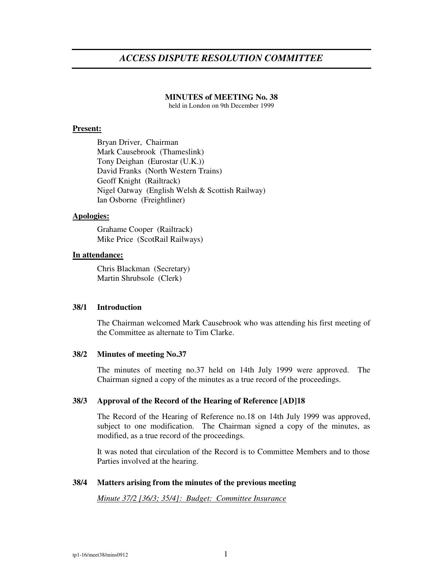# *ACCESS DISPUTE RESOLUTION COMMITTEE*

#### **MINUTES of MEETING No. 38**

held in London on 9th December 1999

#### **Present:**

Bryan Driver, Chairman Mark Causebrook (Thameslink) Tony Deighan (Eurostar (U.K.)) David Franks (North Western Trains) Geoff Knight (Railtrack) Nigel Oatway (English Welsh & Scottish Railway) Ian Osborne (Freightliner)

## **Apologies:**

Grahame Cooper (Railtrack) Mike Price (ScotRail Railways)

## **In attendance:**

Chris Blackman (Secretary) Martin Shrubsole (Clerk)

# **38/1 Introduction**

The Chairman welcomed Mark Causebrook who was attending his first meeting of the Committee as alternate to Tim Clarke.

## **38/2 Minutes of meeting No.37**

The minutes of meeting no.37 held on 14th July 1999 were approved. The Chairman signed a copy of the minutes as a true record of the proceedings.

#### **38/3 Approval of the Record of the Hearing of Reference [AD]18**

The Record of the Hearing of Reference no.18 on 14th July 1999 was approved, subject to one modification. The Chairman signed a copy of the minutes, as modified, as a true record of the proceedings.

It was noted that circulation of the Record is to Committee Members and to those Parties involved at the hearing.

#### **38/4 Matters arising from the minutes of the previous meeting**

*Minute 37/2 [36/3; 35/4]: Budget: Committee Insurance*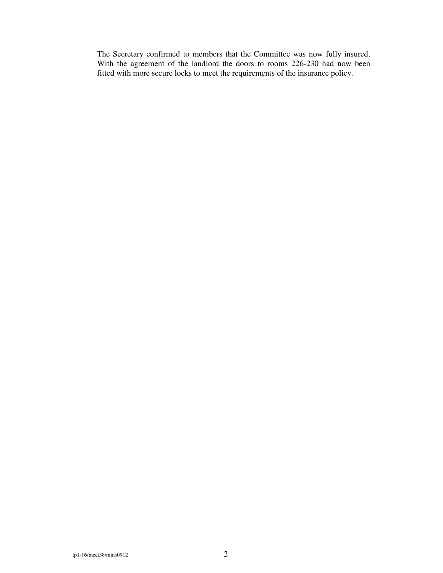The Secretary confirmed to members that the Committee was now fully insured. With the agreement of the landlord the doors to rooms 226-230 had now been fitted with more secure locks to meet the requirements of the insurance policy.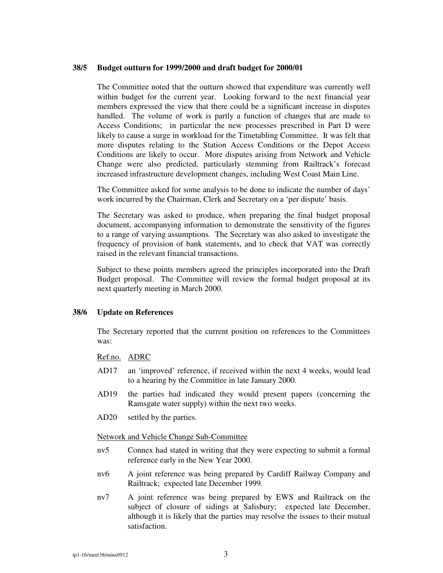## **38/5 Budget outturn for 1999/2000 and draft budget for 2000/01**

The Committee noted that the outturn showed that expenditure was currently well within budget for the current year. Looking forward to the next financial year members expressed the view that there could be a significant increase in disputes handled. The volume of work is partly a function of changes that are made to Access Conditions; in particular the new processes prescribed in Part D were likely to cause a surge in workload for the Timetabling Committee. It was felt that more disputes relating to the Station Access Conditions or the Depot Access Conditions are likely to occur. More disputes arising from Network and Vehicle Change were also predicted, particularly stemming from Railtrack's forecast increased infrastructure development changes, including West Coast Main Line.

The Committee asked for some analysis to be done to indicate the number of days' work incurred by the Chairman, Clerk and Secretary on a 'per dispute' basis.

The Secretary was asked to produce, when preparing the final budget proposal document, accompanying information to demonstrate the sensitivity of the figures to a range of varying assumptions. The Secretary was also asked to investigate the frequency of provision of bank statements, and to check that VAT was correctly raised in the relevant financial transactions.

Subject to these points members agreed the principles incorporated into the Draft Budget proposal. The Committee will review the formal budget proposal at its next quarterly meeting in March 2000.

## **38/6 Update on References**

The Secretary reported that the current position on references to the Committees was:

Ref.no. ADRC

- AD17 an 'improved' reference, if received within the next 4 weeks, would lead to a hearing by the Committee in late January 2000.
- AD19 the parties had indicated they would present papers (concerning the Ramsgate water supply) within the next two weeks.
- AD20 settled by the parties.

## Network and Vehicle Change Sub-Committee

- nv5 Connex had stated in writing that they were expecting to submit a formal reference early in the New Year 2000.
- nv6 A joint reference was being prepared by Cardiff Railway Company and Railtrack; expected late December 1999.
- nv7 A joint reference was being prepared by EWS and Railtrack on the subject of closure of sidings at Salisbury; expected late December, although it is likely that the parties may resolve the issues to their mutual satisfaction.